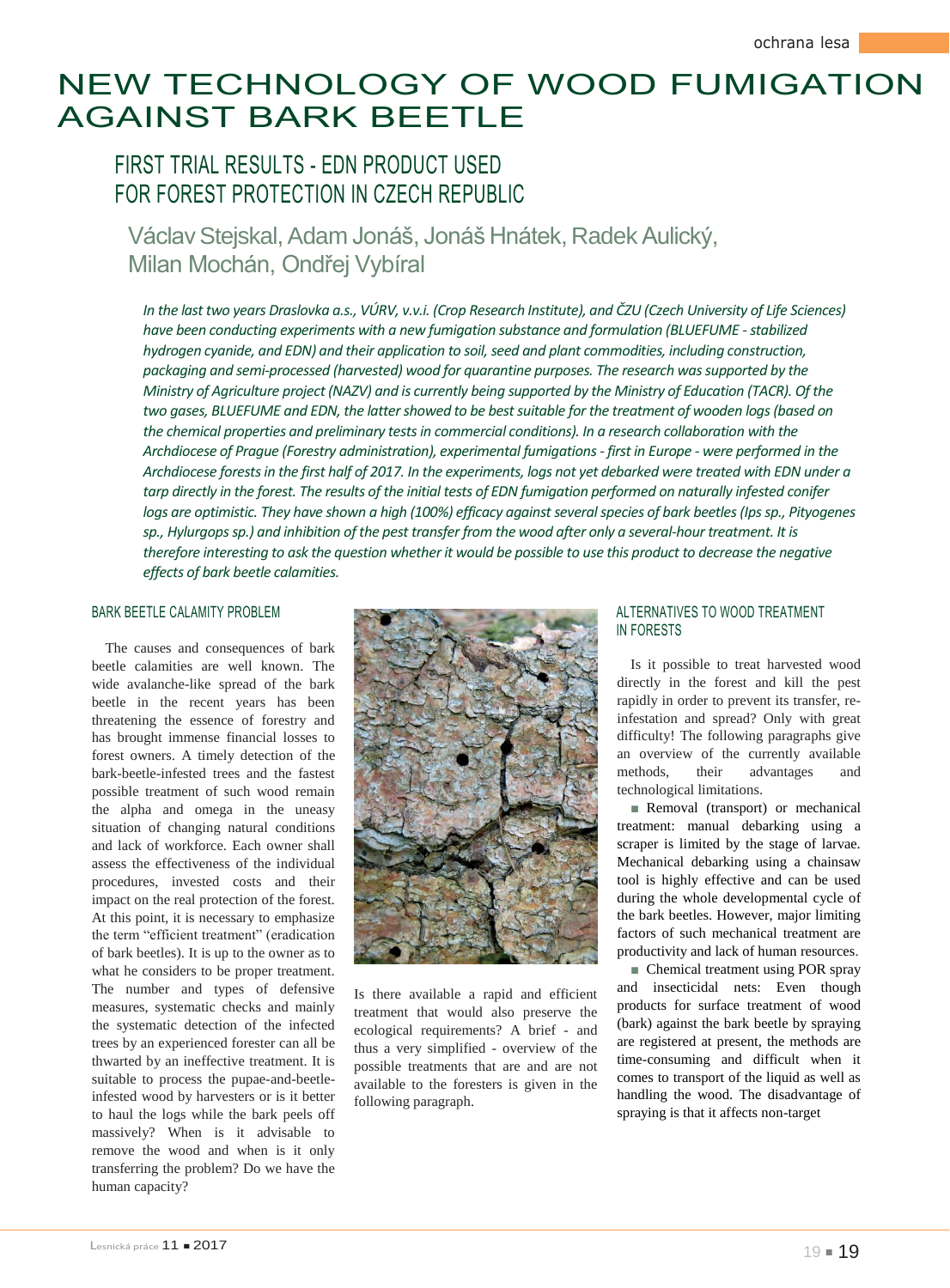# NEW TECHNOLOGY OF WOOD FUMIGATION AGAINST BARK BEETLE

## FIRST TRIAL RESULTS - EDN PRODUCT USED FOR FOREST PROTECTION IN CZECH REPUBLIC

Václav Steiskal, Adam Jonáš, Jonáš Hnátek, Radek Aulický, Milan Mochán, Ondřej Vybíral

*In the last two years Draslovka a.s., VÚRV, v.v.i. (Crop Research Institute), and ČZU (Czech University of Life Sciences)*  have been conducting experiments with a new fumigation substance and formulation (BLUEFUME - stabilized *hydrogen cyanide, and EDN) and their application to soil, seed and plant commodities, including construction, packaging and semi-processed (harvested) wood for quarantine purposes. The research was supported by the Ministry of Agriculture project (NAZV) and is currently being supported by the Ministry of Education (TACR). Of the two gases, BLUEFUME and EDN, the latter showed to be best suitable for the treatment of wooden logs (based on the chemical properties and preliminary tests in commercial conditions). In a research collaboration with the Archdiocese of Prague (Forestry administration), experimental fumigations - first in Europe - were performed in the Archdiocese forests in the first half of 2017. In the experiments, logs not yet debarked were treated with EDN under a tarp directly in the forest. The results of the initial tests of EDN fumigation performed on naturally infested conifer logs are optimistic. They have shown a high (100%) efficacy against several species of bark beetles (Ips sp., Pityogenes sp., Hylurgops sp.) and inhibition of the pest transfer from the wood after only a several-hour treatment. It is therefore interesting to ask the question whether it would be possible to use this product to decrease the negative effects of bark beetle calamities.*

## BARK BEETLE CALAMITY PROBLEM

The causes and consequences of bark beetle calamities are well known. The wide avalanche-like spread of the bark beetle in the recent years has been threatening the essence of forestry and has brought immense financial losses to forest owners. A timely detection of the bark-beetle-infested trees and the fastest possible treatment of such wood remain the alpha and omega in the uneasy situation of changing natural conditions and lack of workforce. Each owner shall assess the effectiveness of the individual procedures, invested costs and their impact on the real protection of the forest. At this point, it is necessary to emphasize the term "efficient treatment" (eradication of bark beetles). It is up to the owner as to what he considers to be proper treatment. The number and types of defensive measures, systematic checks and mainly the systematic detection of the infected trees by an experienced forester can all be thwarted by an ineffective treatment. It is suitable to process the pupae-and-beetleinfested wood by harvesters or is it better to haul the logs while the bark peels off massively? When is it advisable to remove the wood and when is it only transferring the problem? Do we have the human capacity?



Is there available a rapid and efficient treatment that would also preserve the ecological requirements? A brief - and thus a very simplified - overview of the possible treatments that are and are not available to the foresters is given in the following paragraph.

## ALTERNATIVES TO WOOD TREATMENT IN FORESTS

Is it possible to treat harvested wood directly in the forest and kill the pest rapidly in order to prevent its transfer, reinfestation and spread? Only with great difficulty! The following paragraphs give an overview of the currently available methods, their advantages and technological limitations.

■ Removal (transport) or mechanical treatment: manual debarking using a scraper is limited by the stage of larvae. Mechanical debarking using a chainsaw tool is highly effective and can be used during the whole developmental cycle of the bark beetles. However, major limiting factors of such mechanical treatment are productivity and lack of human resources.

■ Chemical treatment using POR spray and insecticidal nets: Even though products for surface treatment of wood (bark) against the bark beetle by spraying are registered at present, the methods are time-consuming and difficult when it comes to transport of the liquid as well as handling the wood. The disadvantage of spraying is that it affects non-target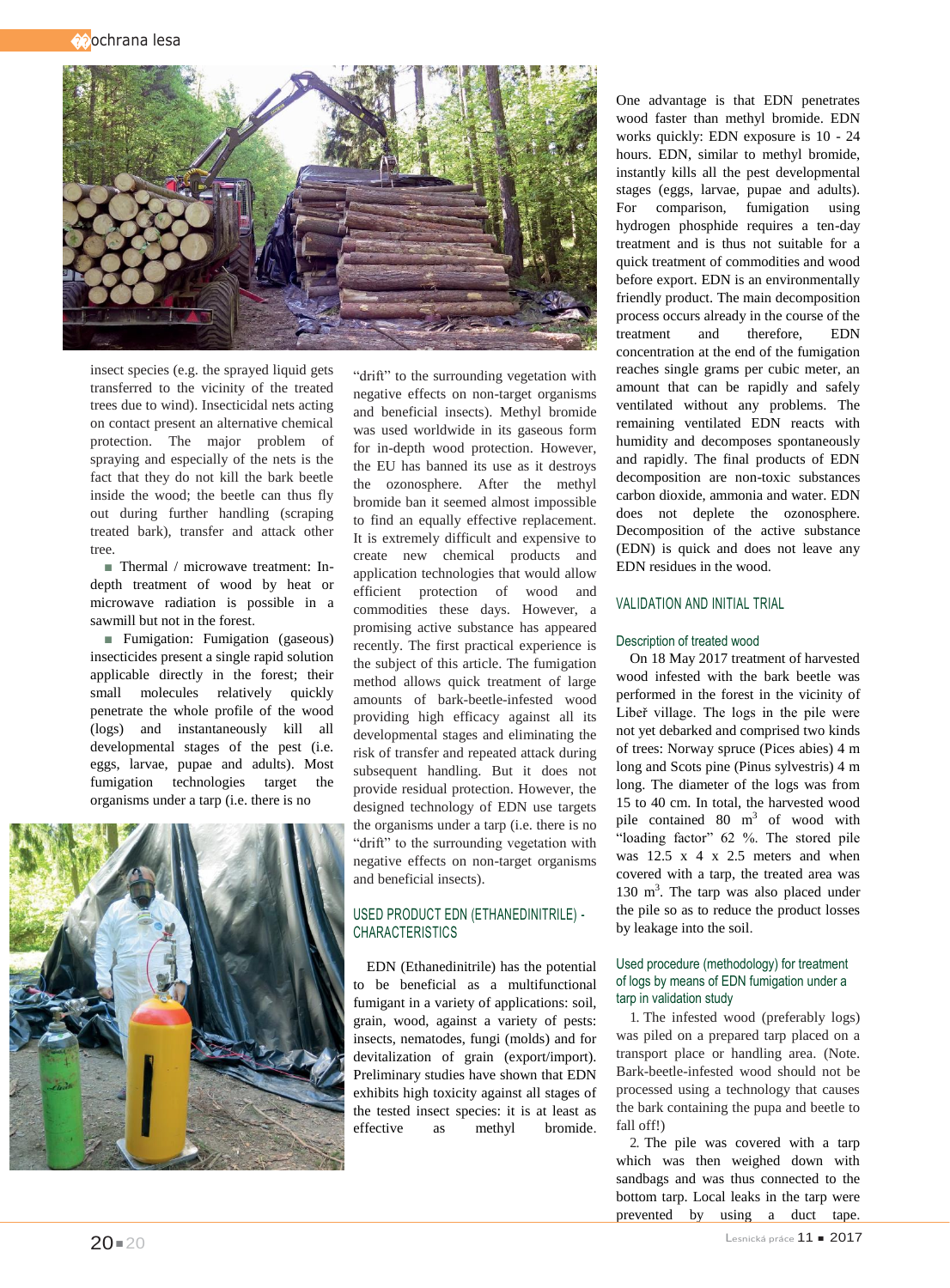��ochrana lesa



insect species (e.g. the sprayed liquid gets transferred to the vicinity of the treated trees due to wind). Insecticidal nets acting on contact present an alternative chemical protection. The major problem of spraying and especially of the nets is the fact that they do not kill the bark beetle inside the wood; the beetle can thus fly out during further handling (scraping treated bark), transfer and attack other tree.

■ Thermal / microwave treatment: Indepth treatment of wood by heat or microwave radiation is possible in a sawmill but not in the forest.

■ Fumigation: Fumigation (gaseous) insecticides present a single rapid solution applicable directly in the forest; their small molecules relatively quickly penetrate the whole profile of the wood (logs) and instantaneously kill all developmental stages of the pest (i.e. eggs, larvae, pupae and adults). Most fumigation technologies target the organisms under a tarp (i.e. there is no

"drift" to the surrounding vegetation with negative effects on non-target organisms and beneficial insects). Methyl bromide was used worldwide in its gaseous form for in-depth wood protection. However, the EU has banned its use as it destroys the ozonosphere. After the methyl bromide ban it seemed almost impossible to find an equally effective replacement. It is extremely difficult and expensive to create new chemical products and application technologies that would allow efficient protection of wood and commodities these days. However, a promising active substance has appeared recently. The first practical experience is the subject of this article. The fumigation method allows quick treatment of large amounts of bark-beetle-infested wood providing high efficacy against all its developmental stages and eliminating the risk of transfer and repeated attack during subsequent handling. But it does not provide residual protection. However, the designed technology of EDN use targets the organisms under a tarp (i.e. there is no "drift" to the surrounding vegetation with negative effects on non-target organisms and beneficial insects).

## USED PRODUCT EDN (ETHANEDINITRILE) - CHARACTERISTICS

EDN (Ethanedinitrile) has the potential to be beneficial as a multifunctional fumigant in a variety of applications: soil, grain, wood, against a variety of pests: insects, nematodes, fungi (molds) and for devitalization of grain (export/import). Preliminary studies have shown that EDN exhibits high toxicity against all stages of the tested insect species: it is at least as effective as methyl bromide.

One advantage is that EDN penetrates wood faster than methyl bromide. EDN works quickly: EDN exposure is 10 - 24 hours. EDN, similar to methyl bromide, instantly kills all the pest developmental stages (eggs, larvae, pupae and adults). For comparison, fumigation using hydrogen phosphide requires a ten-day treatment and is thus not suitable for a quick treatment of commodities and wood before export. EDN is an environmentally friendly product. The main decomposition process occurs already in the course of the treatment and therefore, EDN concentration at the end of the fumigation reaches single grams per cubic meter, an amount that can be rapidly and safely ventilated without any problems. The remaining ventilated EDN reacts with humidity and decomposes spontaneously and rapidly. The final products of EDN decomposition are non-toxic substances carbon dioxide, ammonia and water. EDN does not deplete the ozonosphere. Decomposition of the active substance (EDN) is quick and does not leave any EDN residues in the wood.

## VALIDATION AND INITIAL TRIAL

#### Description of treated wood

On 18 May 2017 treatment of harvested wood infested with the bark beetle was performed in the forest in the vicinity of Libeř village. The logs in the pile were not yet debarked and comprised two kinds of trees: Norway spruce (Pices abies) 4 m long and Scots pine (Pinus sylvestris) 4 m long. The diameter of the logs was from 15 to 40 cm. In total, the harvested wood pile contained 80 m<sup>3</sup> of wood with "loading factor" 62 %. The stored pile was 12.5 x 4 x 2.5 meters and when covered with a tarp, the treated area was 130 m<sup>3</sup>. The tarp was also placed under the pile so as to reduce the product losses by leakage into the soil.

## Used procedure (methodology) for treatment of logs by means of EDN fumigation under a tarp in validation study

1. The infested wood (preferably logs) was piled on a prepared tarp placed on a transport place or handling area. (Note. Bark-beetle-infested wood should not be processed using a technology that causes the bark containing the pupa and beetle to fall off!)

2. The pile was covered with a tarp which was then weighed down with sandbags and was thus connected to the bottom tarp. Local leaks in the tarp were prevented by using a duct tape.